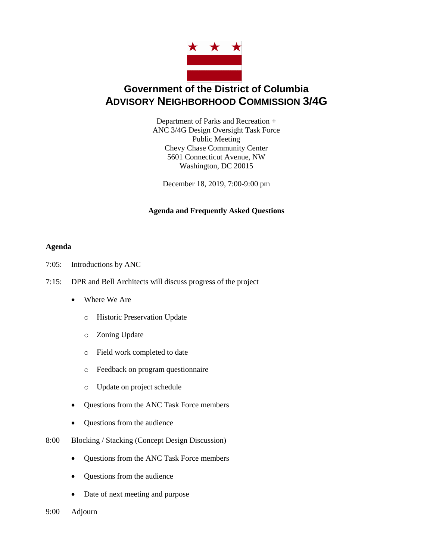

# **Government of the District of Columbia ADVISORY NEIGHBORHOOD COMMISSION 3/4G**

Department of Parks and Recreation + ANC 3/4G Design Oversight Task Force Public Meeting Chevy Chase Community Center 5601 Connecticut Avenue, NW Washington, DC 20015

December 18, 2019, 7:00-9:00 pm

# **Agenda and Frequently Asked Questions**

# **Agenda**

- 7:05: Introductions by ANC
- 7:15: DPR and Bell Architects will discuss progress of the project
	- Where We Are
		- o Historic Preservation Update
		- o Zoning Update
		- o Field work completed to date
		- o Feedback on program questionnaire
		- o Update on project schedule
	- Questions from the ANC Task Force members
	- Questions from the audience
- 8:00 Blocking / Stacking (Concept Design Discussion)
	- Questions from the ANC Task Force members
	- Questions from the audience
	- Date of next meeting and purpose
- 9:00 Adjourn